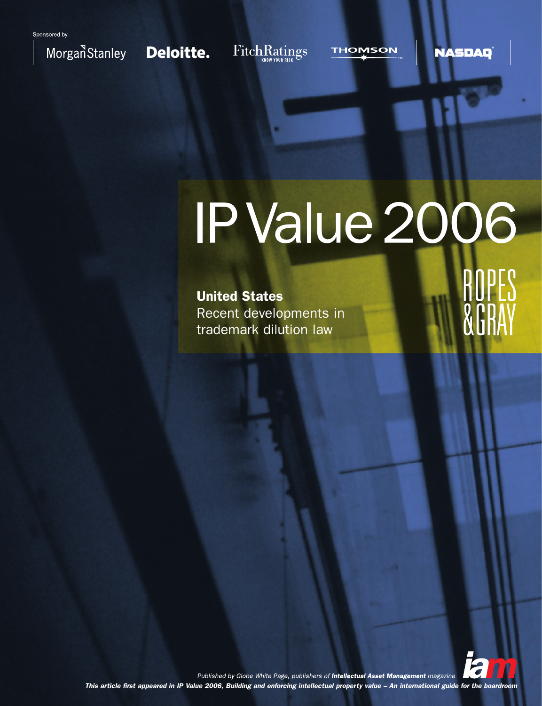

Deloitte.

FitchRatings

**THOMSON** 

**NASDAQ** 

# IP Value 2006

**United States** Recent developments in trademark dilution law

**ÄËR** 

Published by Globe White Page, publishers of Intellectual Asset Management magazine This article first appeared in IP Value 2006, Building and enforcing intellectual property value - An international guide for the boardroom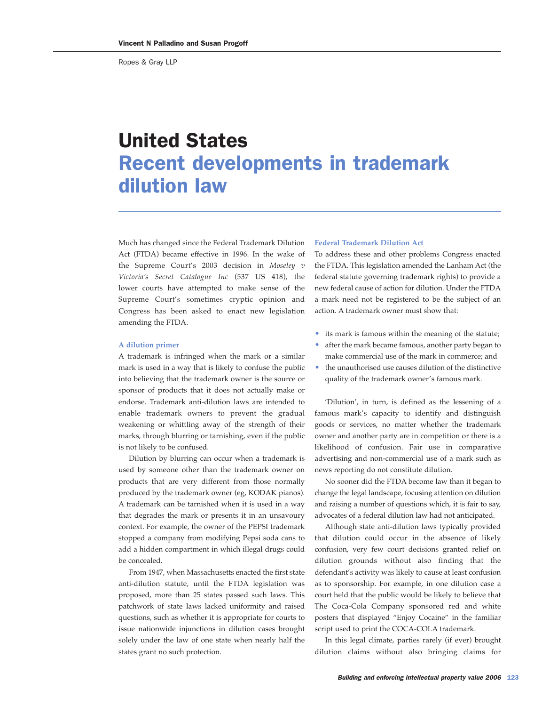Ropes & Gray LLP

# United States Recent developments in trademark dilution law

Much has changed since the Federal Trademark Dilution Act (FTDA) became effective in 1996. In the wake of the Supreme Court's 2003 decision in *Moseley v Victoria's Secret Catalogue Inc* (537 US 418), the lower courts have attempted to make sense of the Supreme Court's sometimes cryptic opinion and Congress has been asked to enact new legislation amending the FTDA.

#### **A dilution primer**

A trademark is infringed when the mark or a similar mark is used in a way that is likely to confuse the public into believing that the trademark owner is the source or sponsor of products that it does not actually make or endorse. Trademark anti-dilution laws are intended to enable trademark owners to prevent the gradual weakening or whittling away of the strength of their marks, through blurring or tarnishing, even if the public is not likely to be confused.

Dilution by blurring can occur when a trademark is used by someone other than the trademark owner on products that are very different from those normally produced by the trademark owner (eg, KODAK pianos). A trademark can be tarnished when it is used in a way that degrades the mark or presents it in an unsavoury context. For example, the owner of the PEPSI trademark stopped a company from modifying Pepsi soda cans to add a hidden compartment in which illegal drugs could be concealed.

From 1947, when Massachusetts enacted the first state anti-dilution statute, until the FTDA legislation was proposed, more than 25 states passed such laws. This patchwork of state laws lacked uniformity and raised questions, such as whether it is appropriate for courts to issue nationwide injunctions in dilution cases brought solely under the law of one state when nearly half the states grant no such protection.

## **Federal Trademark Dilution Act**

To address these and other problems Congress enacted the FTDA. This legislation amended the Lanham Act (the federal statute governing trademark rights) to provide a new federal cause of action for dilution. Under the FTDA a mark need not be registered to be the subject of an action. A trademark owner must show that:

- its mark is famous within the meaning of the statute;
- after the mark became famous, another party began to make commercial use of the mark in commerce; and
- the unauthorised use causes dilution of the distinctive quality of the trademark owner's famous mark.

'Dilution', in turn, is defined as the lessening of a famous mark's capacity to identify and distinguish goods or services, no matter whether the trademark owner and another party are in competition or there is a likelihood of confusion. Fair use in comparative advertising and non-commercial use of a mark such as news reporting do not constitute dilution.

No sooner did the FTDA become law than it began to change the legal landscape, focusing attention on dilution and raising a number of questions which, it is fair to say, advocates of a federal dilution law had not anticipated.

Although state anti-dilution laws typically provided that dilution could occur in the absence of likely confusion, very few court decisions granted relief on dilution grounds without also finding that the defendant's activity was likely to cause at least confusion as to sponsorship. For example, in one dilution case a court held that the public would be likely to believe that The Coca-Cola Company sponsored red and white posters that displayed "Enjoy Cocaine" in the familiar script used to print the COCA-COLA trademark.

In this legal climate, parties rarely (if ever) brought dilution claims without also bringing claims for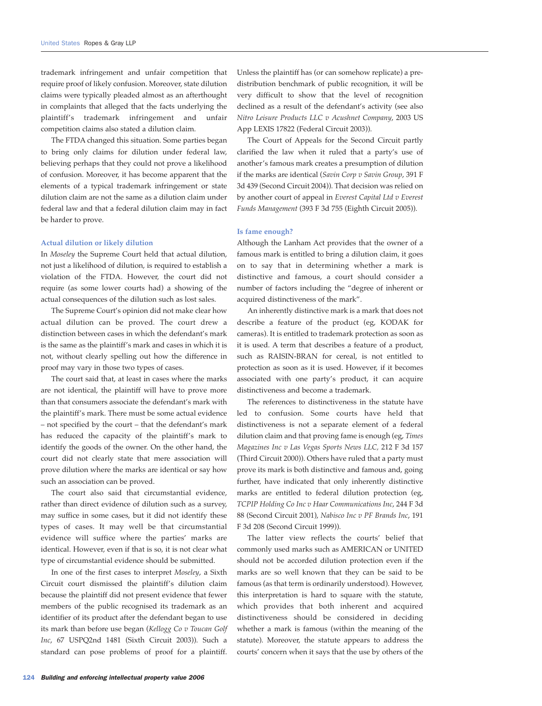trademark infringement and unfair competition that require proof of likely confusion. Moreover, state dilution claims were typically pleaded almost as an afterthought in complaints that alleged that the facts underlying the plaintiff's trademark infringement and unfair competition claims also stated a dilution claim.

The FTDA changed this situation. Some parties began to bring only claims for dilution under federal law, believing perhaps that they could not prove a likelihood of confusion. Moreover, it has become apparent that the elements of a typical trademark infringement or state dilution claim are not the same as a dilution claim under federal law and that a federal dilution claim may in fact be harder to prove.

#### **Actual dilution or likely dilution**

In *Moseley* the Supreme Court held that actual dilution, not just a likelihood of dilution, is required to establish a violation of the FTDA. However, the court did not require (as some lower courts had) a showing of the actual consequences of the dilution such as lost sales.

The Supreme Court's opinion did not make clear how actual dilution can be proved. The court drew a distinction between cases in which the defendant's mark is the same as the plaintiff's mark and cases in which it is not, without clearly spelling out how the difference in proof may vary in those two types of cases.

The court said that, at least in cases where the marks are not identical, the plaintiff will have to prove more than that consumers associate the defendant's mark with the plaintiff's mark. There must be some actual evidence – not specified by the court – that the defendant's mark has reduced the capacity of the plaintiff's mark to identify the goods of the owner. On the other hand, the court did not clearly state that mere association will prove dilution where the marks are identical or say how such an association can be proved.

The court also said that circumstantial evidence, rather than direct evidence of dilution such as a survey, may suffice in some cases, but it did not identify these types of cases. It may well be that circumstantial evidence will suffice where the parties' marks are identical. However, even if that is so, it is not clear what type of circumstantial evidence should be submitted.

In one of the first cases to interpret *Moseley*, a Sixth Circuit court dismissed the plaintiff's dilution claim because the plaintiff did not present evidence that fewer members of the public recognised its trademark as an identifier of its product after the defendant began to use its mark than before use began (*Kellogg Co v Toucan Golf Inc*, 67 USPQ2nd 1481 (Sixth Circuit 2003)). Such a standard can pose problems of proof for a plaintiff. Unless the plaintiff has (or can somehow replicate) a predistribution benchmark of public recognition, it will be very difficult to show that the level of recognition declined as a result of the defendant's activity (see also *Nitro Leisure Products LLC v Acushnet Company*, 2003 US App LEXIS 17822 (Federal Circuit 2003)).

The Court of Appeals for the Second Circuit partly clarified the law when it ruled that a party's use of another's famous mark creates a presumption of dilution if the marks are identical (*Savin Corp v Savin Group*, 391 F 3d 439 (Second Circuit 2004)). That decision was relied on by another court of appeal in *Everest Capital Ltd v Everest Funds Management* (393 F 3d 755 (Eighth Circuit 2005)).

#### **Is fame enough?**

Although the Lanham Act provides that the owner of a famous mark is entitled to bring a dilution claim, it goes on to say that in determining whether a mark is distinctive and famous, a court should consider a number of factors including the "degree of inherent or acquired distinctiveness of the mark".

An inherently distinctive mark is a mark that does not describe a feature of the product (eg, KODAK for cameras). It is entitled to trademark protection as soon as it is used. A term that describes a feature of a product, such as RAISIN-BRAN for cereal, is not entitled to protection as soon as it is used. However, if it becomes associated with one party's product, it can acquire distinctiveness and become a trademark.

The references to distinctiveness in the statute have led to confusion. Some courts have held that distinctiveness is not a separate element of a federal dilution claim and that proving fame is enough (eg, *Times Magazines Inc v Las Vegas Sports News LLC,* 212 F 3d 157 (Third Circuit 2000)). Others have ruled that a party must prove its mark is both distinctive and famous and, going further, have indicated that only inherently distinctive marks are entitled to federal dilution protection (eg, *TCPIP Holding Co Inc v Haar Communications Inc*, 244 F 3d 88 (Second Circuit 2001), *Nabisco Inc v PF Brands Inc*, 191 F 3d 208 (Second Circuit 1999)).

The latter view reflects the courts' belief that commonly used marks such as AMERICAN or UNITED should not be accorded dilution protection even if the marks are so well known that they can be said to be famous (as that term is ordinarily understood). However, this interpretation is hard to square with the statute, which provides that both inherent and acquired distinctiveness should be considered in deciding whether a mark is famous (within the meaning of the statute). Moreover, the statute appears to address the courts' concern when it says that the use by others of the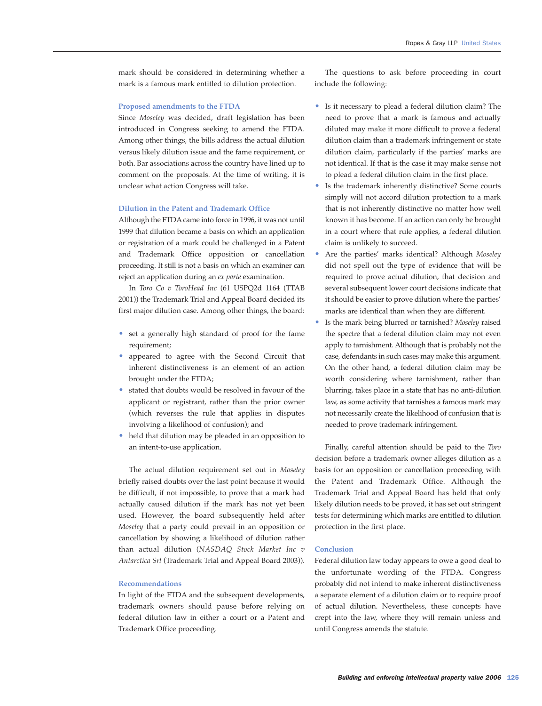mark should be considered in determining whether a mark is a famous mark entitled to dilution protection.

#### **Proposed amendments to the FTDA**

Since *Moseley* was decided, draft legislation has been introduced in Congress seeking to amend the FTDA. Among other things, the bills address the actual dilution versus likely dilution issue and the fame requirement, or both. Bar associations across the country have lined up to comment on the proposals. At the time of writing, it is unclear what action Congress will take.

#### **Dilution in the Patent and Trademark Office**

Although the FTDA came into force in 1996, it was not until 1999 that dilution became a basis on which an application or registration of a mark could be challenged in a Patent and Trademark Office opposition or cancellation proceeding. It still is not a basis on which an examiner can reject an application during an *ex parte* examination.

In *Toro Co v ToroHead Inc* (61 USPQ2d 1164 (TTAB 2001)) the Trademark Trial and Appeal Board decided its first major dilution case. Among other things, the board:

- set a generally high standard of proof for the fame requirement;
- appeared to agree with the Second Circuit that inherent distinctiveness is an element of an action brought under the FTDA;
- stated that doubts would be resolved in favour of the applicant or registrant, rather than the prior owner (which reverses the rule that applies in disputes involving a likelihood of confusion); and
- held that dilution may be pleaded in an opposition to an intent-to-use application.

The actual dilution requirement set out in *Moseley* briefly raised doubts over the last point because it would be difficult, if not impossible, to prove that a mark had actually caused dilution if the mark has not yet been used. However, the board subsequently held after *Moseley* that a party could prevail in an opposition or cancellation by showing a likelihood of dilution rather than actual dilution (*NASDAQ Stock Market Inc v Antarctica Srl* (Trademark Trial and Appeal Board 2003)).

## **Recommendations**

In light of the FTDA and the subsequent developments, trademark owners should pause before relying on federal dilution law in either a court or a Patent and Trademark Office proceeding.

The questions to ask before proceeding in court include the following:

- Is it necessary to plead a federal dilution claim? The need to prove that a mark is famous and actually diluted may make it more difficult to prove a federal dilution claim than a trademark infringement or state dilution claim, particularly if the parties' marks are not identical. If that is the case it may make sense not to plead a federal dilution claim in the first place.
- Is the trademark inherently distinctive? Some courts simply will not accord dilution protection to a mark that is not inherently distinctive no matter how well known it has become. If an action can only be brought in a court where that rule applies, a federal dilution claim is unlikely to succeed.
- Are the parties' marks identical? Although *Moseley* did not spell out the type of evidence that will be required to prove actual dilution, that decision and several subsequent lower court decisions indicate that it should be easier to prove dilution where the parties' marks are identical than when they are different.
- Is the mark being blurred or tarnished? *Moseley* raised the spectre that a federal dilution claim may not even apply to tarnishment. Although that is probably not the case, defendants in such cases may make this argument. On the other hand, a federal dilution claim may be worth considering where tarnishment, rather than blurring, takes place in a state that has no anti-dilution law, as some activity that tarnishes a famous mark may not necessarily create the likelihood of confusion that is needed to prove trademark infringement.

Finally, careful attention should be paid to the *Toro* decision before a trademark owner alleges dilution as a basis for an opposition or cancellation proceeding with the Patent and Trademark Office. Although the Trademark Trial and Appeal Board has held that only likely dilution needs to be proved, it has set out stringent tests for determining which marks are entitled to dilution protection in the first place.

# **Conclusion**

Federal dilution law today appears to owe a good deal to the unfortunate wording of the FTDA. Congress probably did not intend to make inherent distinctiveness a separate element of a dilution claim or to require proof of actual dilution. Nevertheless, these concepts have crept into the law, where they will remain unless and until Congress amends the statute.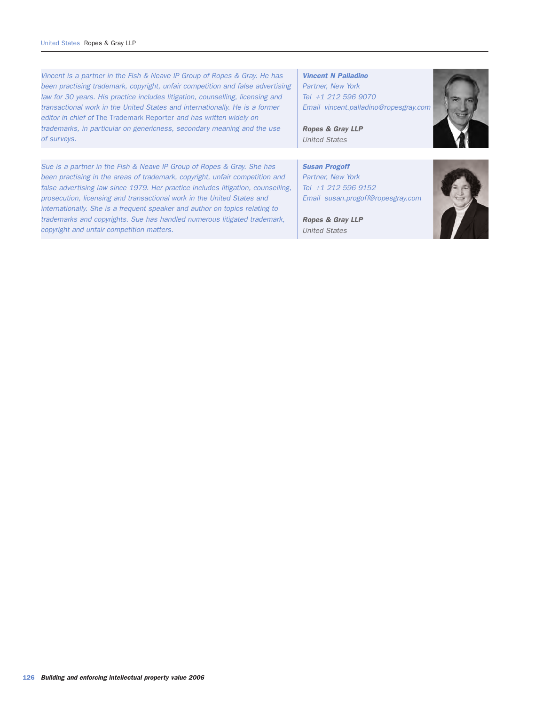Sue is a partner in the Fish & Neave IP Group of Ropes & Gray. She has been practising in the areas of trademark, copyright, unfair competition and false advertising law since 1979. Her practice includes litigation, counselling, prosecution, licensing and transactional work in the United States and internationally. She is a frequent speaker and author on topics relating to trademarks and copyrights. Sue has handled numerous litigated trademark, copyright and unfair competition matters. Susan Progoff Partner, New York Tel +1 212 596 9152 Email susan.progoff@ropesgray.com Ropes & Gray LLP United States Vincent is a partner in the Fish & Neave IP Group of Ropes & Gray. He has been practising trademark, copyright, unfair competition and false advertising law for 30 years. His practice includes litigation, counselling, licensing and transactional work in the United States and internationally. He is a former editor in chief of The Trademark Reporter and has written widely on trademarks, in particular on genericness, secondary meaning and the use of surveys. Vincent N Palladino Partner, New York Tel +1 212 596 9070 Email vincent.palladino@ropesgray.com Ropes & Gray LLP United States